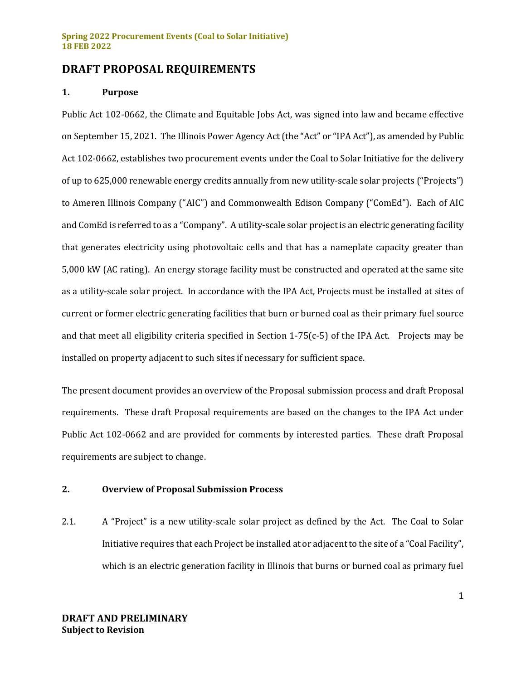## **DRAFT PROPOSAL REQUIREMENTS**

## **1. Purpose**

Public Act 102-0662, the Climate and Equitable Jobs Act, was signed into law and became effective on September 15, 2021. The Illinois Power Agency Act (the "Act" or "IPA Act"), as amended by Public Act 102-0662, establishes two procurement events under the Coal to Solar Initiative for the delivery of up to 625,000 renewable energy credits annually from new utility-scale solar projects ("Projects") to Ameren Illinois Company ("AIC") and Commonwealth Edison Company ("ComEd"). Each of AIC and ComEd is referred to as a "Company". A utility-scale solar project is an electric generating facility that generates electricity using photovoltaic cells and that has a nameplate capacity greater than 5,000 kW (AC rating). An energy storage facility must be constructed and operated at the same site as a utility-scale solar project. In accordance with the IPA Act, Projects must be installed at sites of current or former electric generating facilities that burn or burned coal as their primary fuel source and that meet all eligibility criteria specified in Section 1-75(c-5) of the IPA Act. Projects may be installed on property adjacent to such sites if necessary for sufficient space.

The present document provides an overview of the Proposal submission process and draft Proposal requirements. These draft Proposal requirements are based on the changes to the IPA Act under Public Act 102-0662 and are provided for comments by interested parties. These draft Proposal requirements are subject to change.

## **2. Overview of Proposal Submission Process**

2.1. A "Project" is a new utility-scale solar project as defined by the Act. The Coal to Solar Initiative requires that each Project be installed at or adjacent to the site of a "Coal Facility", which is an electric generation facility in Illinois that burns or burned coal as primary fuel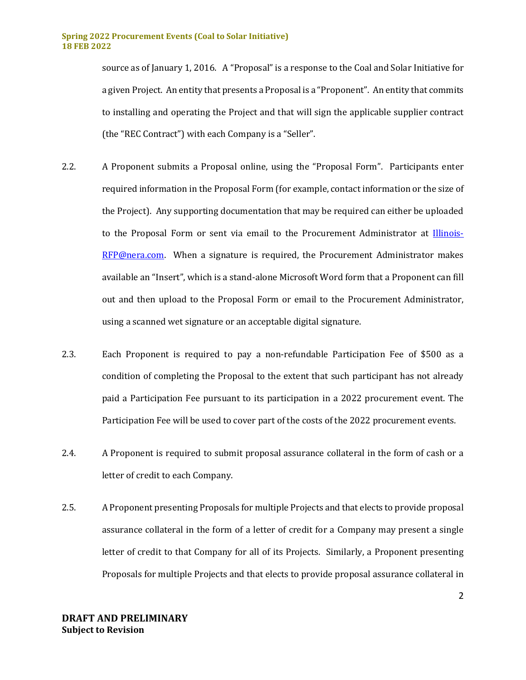source as of January 1, 2016. A "Proposal" is a response to the Coal and Solar Initiative for a given Project. An entity that presents a Proposal is a "Proponent". An entity that commits to installing and operating the Project and that will sign the applicable supplier contract (the "REC Contract") with each Company is a "Seller".

- 2.2. A Proponent submits a Proposal online, using the "Proposal Form". Participants enter required information in the Proposal Form (for example, contact information or the size of the Project). Any supporting documentation that may be required can either be uploaded to the Proposal Form or sent via email to the Procurement Administrator at [Illinois-](mailto:Illinois-RFP@nera.com)[RFP@nera.com.](mailto:Illinois-RFP@nera.com) When a signature is required, the Procurement Administrator makes available an "Insert", which is a stand-alone Microsoft Word form that a Proponent can fill out and then upload to the Proposal Form or email to the Procurement Administrator, using a scanned wet signature or an acceptable digital signature.
- 2.3. Each Proponent is required to pay a non-refundable Participation Fee of \$500 as a condition of completing the Proposal to the extent that such participant has not already paid a Participation Fee pursuant to its participation in a 2022 procurement event. The Participation Fee will be used to cover part of the costs of the 2022 procurement events.
- 2.4. A Proponent is required to submit proposal assurance collateral in the form of cash or a letter of credit to each Company.
- 2.5. A Proponent presenting Proposals for multiple Projects and that elects to provide proposal assurance collateral in the form of a letter of credit for a Company may present a single letter of credit to that Company for all of its Projects. Similarly, a Proponent presenting Proposals for multiple Projects and that elects to provide proposal assurance collateral in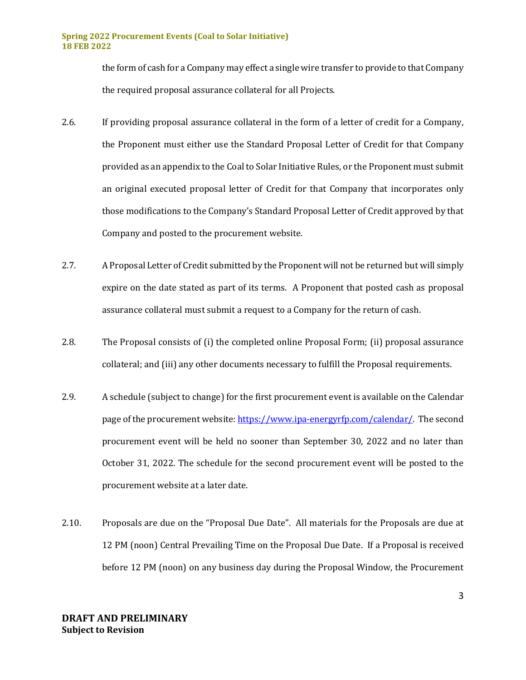the form of cash for a Company may effect a single wire transfer to provide to that Company the required proposal assurance collateral for all Projects.

- 2.6. If providing proposal assurance collateral in the form of a letter of credit for a Company, the Proponent must either use the Standard Proposal Letter of Credit for that Company provided as an appendix to the Coal to Solar Initiative Rules, or the Proponent must submit an original executed proposal letter of Credit for that Company that incorporates only those modifications to the Company's Standard Proposal Letter of Credit approved by that Company and posted to the procurement website.
- 2.7. A Proposal Letter of Credit submitted by the Proponent will not be returned but will simply expire on the date stated as part of its terms. A Proponent that posted cash as proposal assurance collateral must submit a request to a Company for the return of cash.
- 2.8. The Proposal consists of (i) the completed online Proposal Form; (ii) proposal assurance collateral; and (iii) any other documents necessary to fulfill the Proposal requirements.
- 2.9. A schedule (subject to change) for the first procurement event is available on the Calendar page of the procurement website[: https://www.ipa-energyrfp.com/calendar/.](https://www.ipa-energyrfp.com/calendar/) The second procurement event will be held no sooner than September 30, 2022 and no later than October 31, 2022. The schedule for the second procurement event will be posted to the procurement website at a later date.
- 2.10. Proposals are due on the "Proposal Due Date". All materials for the Proposals are due at 12 PM (noon) Central Prevailing Time on the Proposal Due Date. If a Proposal is received before 12 PM (noon) on any business day during the Proposal Window, the Procurement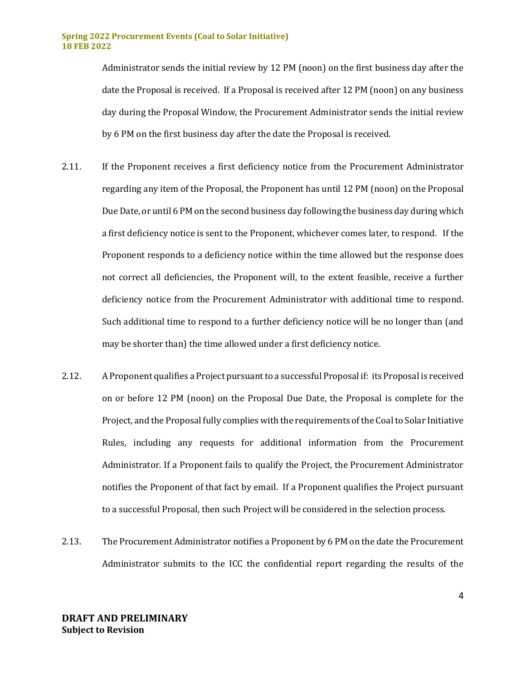Administrator sends the initial review by 12 PM (noon) on the first business day after the date the Proposal is received. If a Proposal is received after 12 PM (noon) on any business day during the Proposal Window, the Procurement Administrator sends the initial review by 6 PM on the first business day after the date the Proposal is received.

- 2.11. If the Proponent receives a first deficiency notice from the Procurement Administrator regarding any item of the Proposal, the Proponent has until 12 PM (noon) on the Proposal Due Date, or until 6 PM on the second business day following the business day during which a first deficiency notice is sent to the Proponent, whichever comes later, to respond. If the Proponent responds to a deficiency notice within the time allowed but the response does not correct all deficiencies, the Proponent will, to the extent feasible, receive a further deficiency notice from the Procurement Administrator with additional time to respond. Such additional time to respond to a further deficiency notice will be no longer than (and may be shorter than) the time allowed under a first deficiency notice.
- 2.12. A Proponent qualifies a Project pursuant to a successful Proposal if: its Proposal is received on or before 12 PM (noon) on the Proposal Due Date, the Proposal is complete for the Project, and the Proposal fully complies with the requirements of the Coal to Solar Initiative Rules, including any requests for additional information from the Procurement Administrator. If a Proponent fails to qualify the Project, the Procurement Administrator notifies the Proponent of that fact by email. If a Proponent qualifies the Project pursuant to a successful Proposal, then such Project will be considered in the selection process.
- 2.13. The Procurement Administrator notifies a Proponent by 6 PM on the date the Procurement Administrator submits to the ICC the confidential report regarding the results of the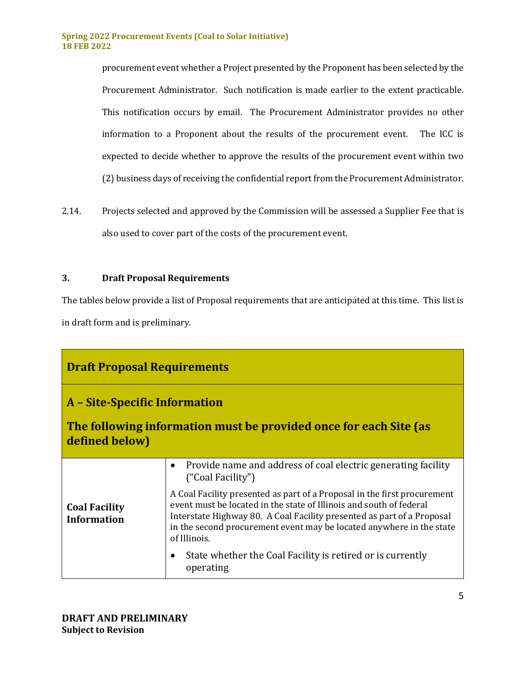procurement event whether a Project presented by the Proponent has been selected by the Procurement Administrator. Such notification is made earlier to the extent practicable. This notification occurs by email. The Procurement Administrator provides no other information to a Proponent about the results of the procurement event. The ICC is expected to decide whether to approve the results of the procurement event within two (2) business days of receiving the confidential report from the Procurement Administrator.

2.14. Projects selected and approved by the Commission will be assessed a Supplier Fee that is also used to cover part of the costs of the procurement event.

## **3. Draft Proposal Requirements**

The tables below provide a list of Proposal requirements that are anticipated at this time. This list is in draft form and is preliminary.

| <b>Draft Proposal Requirements</b>                                                                                   |                                                                                                                                                                                                                                                                                                                   |  |
|----------------------------------------------------------------------------------------------------------------------|-------------------------------------------------------------------------------------------------------------------------------------------------------------------------------------------------------------------------------------------------------------------------------------------------------------------|--|
| A – Site-Specific Information<br>The following information must be provided once for each Site (as<br>defined below) |                                                                                                                                                                                                                                                                                                                   |  |
| <b>Coal Facility</b><br><b>Information</b>                                                                           | Provide name and address of coal electric generating facility<br>$\bullet$<br>("Coal Facility")                                                                                                                                                                                                                   |  |
|                                                                                                                      | A Coal Facility presented as part of a Proposal in the first procurement<br>event must be located in the state of Illinois and south of federal<br>Interstate Highway 80. A Coal Facility presented as part of a Proposal<br>in the second procurement event may be located anywhere in the state<br>of Illinois. |  |
|                                                                                                                      | State whether the Coal Facility is retired or is currently<br>٠<br>operating                                                                                                                                                                                                                                      |  |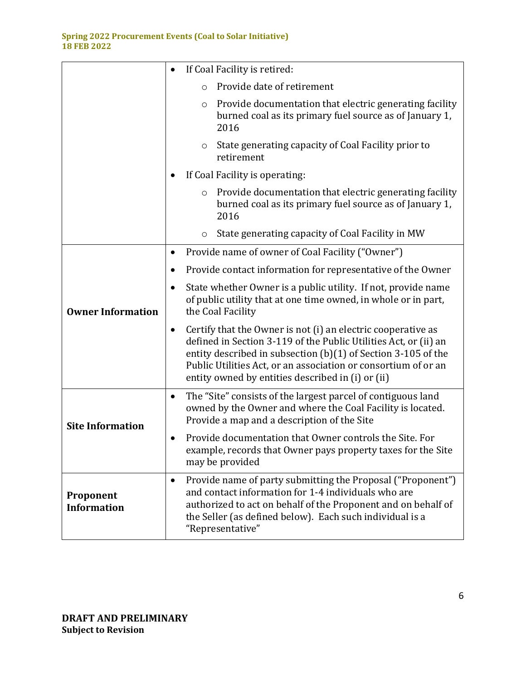|                                 | If Coal Facility is retired:                                                                                                                                                                                                                                                                                                          |
|---------------------------------|---------------------------------------------------------------------------------------------------------------------------------------------------------------------------------------------------------------------------------------------------------------------------------------------------------------------------------------|
|                                 | Provide date of retirement<br>$\circ$                                                                                                                                                                                                                                                                                                 |
|                                 | Provide documentation that electric generating facility<br>$\circ$<br>burned coal as its primary fuel source as of January 1,<br>2016                                                                                                                                                                                                 |
|                                 | State generating capacity of Coal Facility prior to<br>O<br>retirement                                                                                                                                                                                                                                                                |
|                                 | If Coal Facility is operating:                                                                                                                                                                                                                                                                                                        |
|                                 | Provide documentation that electric generating facility<br>$\circ$<br>burned coal as its primary fuel source as of January 1,<br>2016                                                                                                                                                                                                 |
|                                 | State generating capacity of Coal Facility in MW<br>O                                                                                                                                                                                                                                                                                 |
|                                 | Provide name of owner of Coal Facility ("Owner")<br>٠                                                                                                                                                                                                                                                                                 |
|                                 | Provide contact information for representative of the Owner                                                                                                                                                                                                                                                                           |
| <b>Owner Information</b>        | State whether Owner is a public utility. If not, provide name<br>of public utility that at one time owned, in whole or in part,<br>the Coal Facility                                                                                                                                                                                  |
|                                 | Certify that the Owner is not (i) an electric cooperative as<br>$\bullet$<br>defined in Section 3-119 of the Public Utilities Act, or (ii) an<br>entity described in subsection (b)(1) of Section 3-105 of the<br>Public Utilities Act, or an association or consortium of or an<br>entity owned by entities described in (i) or (ii) |
| <b>Site Information</b>         | The "Site" consists of the largest parcel of contiguous land<br>٠<br>owned by the Owner and where the Coal Facility is located.<br>Provide a map and a description of the Site                                                                                                                                                        |
|                                 | Provide documentation that Owner controls the Site. For<br>example, records that Owner pays property taxes for the Site<br>may be provided                                                                                                                                                                                            |
| Proponent<br><b>Information</b> | Provide name of party submitting the Proposal ("Proponent")<br>$\bullet$<br>and contact information for 1-4 individuals who are<br>authorized to act on behalf of the Proponent and on behalf of<br>the Seller (as defined below). Each such individual is a<br>"Representative"                                                      |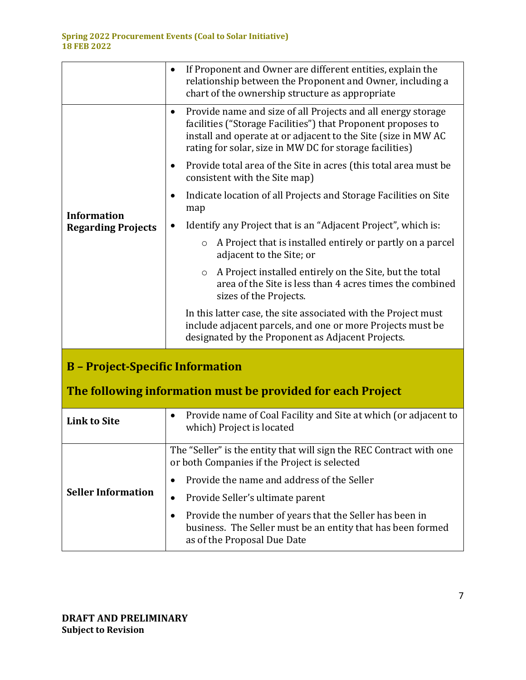|                                                             | If Proponent and Owner are different entities, explain the<br>relationship between the Proponent and Owner, including a<br>chart of the ownership structure as appropriate                                                                                            |
|-------------------------------------------------------------|-----------------------------------------------------------------------------------------------------------------------------------------------------------------------------------------------------------------------------------------------------------------------|
|                                                             | Provide name and size of all Projects and all energy storage<br>$\bullet$<br>facilities ("Storage Facilities") that Proponent proposes to<br>install and operate at or adjacent to the Site (size in MW AC<br>rating for solar, size in MW DC for storage facilities) |
|                                                             | Provide total area of the Site in acres (this total area must be<br>٠<br>consistent with the Site map)                                                                                                                                                                |
|                                                             | Indicate location of all Projects and Storage Facilities on Site<br>٠<br>map                                                                                                                                                                                          |
| <b>Information</b><br><b>Regarding Projects</b>             | Identify any Project that is an "Adjacent Project", which is:                                                                                                                                                                                                         |
|                                                             | A Project that is installed entirely or partly on a parcel<br>$\circ$<br>adjacent to the Site; or                                                                                                                                                                     |
|                                                             | A Project installed entirely on the Site, but the total<br>$\circ$<br>area of the Site is less than 4 acres times the combined<br>sizes of the Projects.                                                                                                              |
|                                                             | In this latter case, the site associated with the Project must<br>include adjacent parcels, and one or more Projects must be<br>designated by the Proponent as Adjacent Projects.                                                                                     |
| <b>B</b> - Project-Specific Information                     |                                                                                                                                                                                                                                                                       |
| The following information must be provided for each Project |                                                                                                                                                                                                                                                                       |
| <b>Link to Site</b>                                         | Provide name of Coal Facility and Site at which (or adjacent to<br>$\bullet$<br>which) Project is located                                                                                                                                                             |
|                                                             | The "Seller" is the entity that will sign the REC Contract with one<br>or both Companies if the Project is selected                                                                                                                                                   |
|                                                             | Provide the name and address of the Seller<br>٠                                                                                                                                                                                                                       |
| <b>Seller Information</b>                                   | Provide Seller's ultimate parent<br>$\bullet$                                                                                                                                                                                                                         |
|                                                             | Provide the number of years that the Seller has been in<br>$\bullet$<br>business. The Seller must be an entity that has been formed<br>as of the Proposal Due Date                                                                                                    |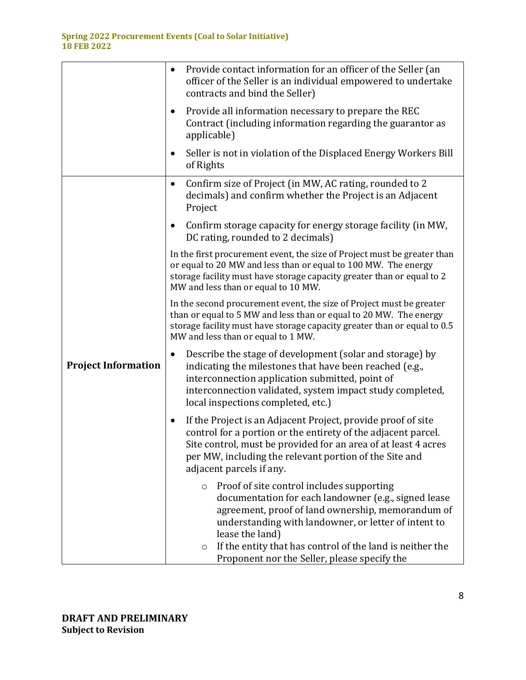|                            | Provide contact information for an officer of the Seller (an<br>$\bullet$<br>officer of the Seller is an individual empowered to undertake<br>contracts and bind the Seller)                                                                                                                                   |
|----------------------------|----------------------------------------------------------------------------------------------------------------------------------------------------------------------------------------------------------------------------------------------------------------------------------------------------------------|
|                            | Provide all information necessary to prepare the REC<br>$\bullet$<br>Contract (including information regarding the guarantor as<br>applicable)                                                                                                                                                                 |
|                            | Seller is not in violation of the Displaced Energy Workers Bill<br>$\bullet$<br>of Rights                                                                                                                                                                                                                      |
|                            | Confirm size of Project (in MW, AC rating, rounded to 2<br>$\bullet$<br>decimals) and confirm whether the Project is an Adjacent<br>Project                                                                                                                                                                    |
|                            | Confirm storage capacity for energy storage facility (in MW,<br>$\bullet$<br>DC rating, rounded to 2 decimals)                                                                                                                                                                                                 |
|                            | In the first procurement event, the size of Project must be greater than<br>or equal to 20 MW and less than or equal to 100 MW. The energy<br>storage facility must have storage capacity greater than or equal to 2<br>MW and less than or equal to 10 MW.                                                    |
|                            | In the second procurement event, the size of Project must be greater<br>than or equal to 5 MW and less than or equal to 20 MW. The energy<br>storage facility must have storage capacity greater than or equal to 0.5<br>MW and less than or equal to 1 MW.                                                    |
| <b>Project Information</b> | Describe the stage of development (solar and storage) by<br>$\bullet$<br>indicating the milestones that have been reached (e.g.,<br>interconnection application submitted, point of<br>interconnection validated, system impact study completed,<br>local inspections completed, etc.)                         |
|                            | If the Project is an Adjacent Project, provide proof of site<br>$\bullet$<br>control for a portion or the entirety of the adjacent parcel.<br>Site control, must be provided for an area of at least 4 acres<br>per MW, including the relevant portion of the Site and<br>adjacent parcels if any.             |
|                            | Proof of site control includes supporting<br>$\circ$<br>documentation for each landowner (e.g., signed lease<br>agreement, proof of land ownership, memorandum of<br>understanding with landowner, or letter of intent to<br>lease the land)<br>If the entity that has control of the land is neither the<br>O |
|                            | Proponent nor the Seller, please specify the                                                                                                                                                                                                                                                                   |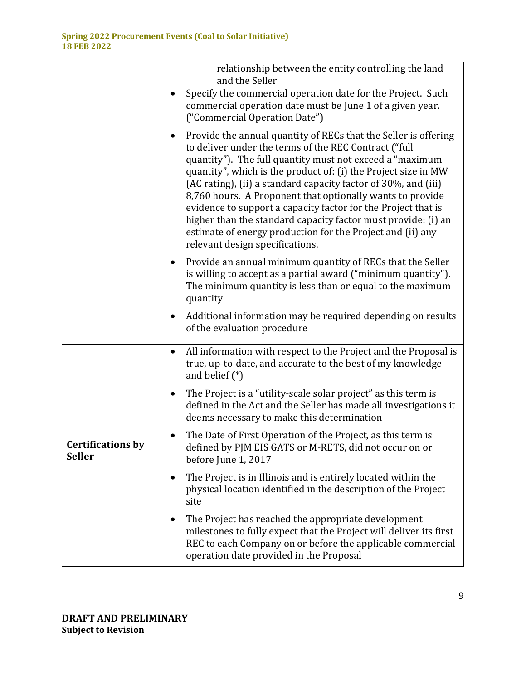|                                           | relationship between the entity controlling the land<br>and the Seller                                                                                                                                                                                                                                                                                                                                                                                                                                                                                                                                                                |
|-------------------------------------------|---------------------------------------------------------------------------------------------------------------------------------------------------------------------------------------------------------------------------------------------------------------------------------------------------------------------------------------------------------------------------------------------------------------------------------------------------------------------------------------------------------------------------------------------------------------------------------------------------------------------------------------|
|                                           | Specify the commercial operation date for the Project. Such<br>commercial operation date must be June 1 of a given year.<br>("Commercial Operation Date")                                                                                                                                                                                                                                                                                                                                                                                                                                                                             |
|                                           | Provide the annual quantity of RECs that the Seller is offering<br>$\bullet$<br>to deliver under the terms of the REC Contract ("full<br>quantity"). The full quantity must not exceed a "maximum<br>quantity", which is the product of: (i) the Project size in MW<br>(AC rating), (ii) a standard capacity factor of 30%, and (iii)<br>8,760 hours. A Proponent that optionally wants to provide<br>evidence to support a capacity factor for the Project that is<br>higher than the standard capacity factor must provide: (i) an<br>estimate of energy production for the Project and (ii) any<br>relevant design specifications. |
|                                           | Provide an annual minimum quantity of RECs that the Seller<br>٠<br>is willing to accept as a partial award ("minimum quantity").<br>The minimum quantity is less than or equal to the maximum<br>quantity                                                                                                                                                                                                                                                                                                                                                                                                                             |
|                                           | Additional information may be required depending on results<br>$\bullet$<br>of the evaluation procedure                                                                                                                                                                                                                                                                                                                                                                                                                                                                                                                               |
|                                           | All information with respect to the Project and the Proposal is<br>$\bullet$<br>true, up-to-date, and accurate to the best of my knowledge<br>and belief $(*)$                                                                                                                                                                                                                                                                                                                                                                                                                                                                        |
|                                           | The Project is a "utility-scale solar project" as this term is<br>$\bullet$<br>defined in the Act and the Seller has made all investigations it<br>deems necessary to make this determination                                                                                                                                                                                                                                                                                                                                                                                                                                         |
| <b>Certifications by</b><br><b>Seller</b> | The Date of First Operation of the Project, as this term is<br>defined by PJM EIS GATS or M-RETS, did not occur on or<br>before June 1, 2017                                                                                                                                                                                                                                                                                                                                                                                                                                                                                          |
|                                           | The Project is in Illinois and is entirely located within the<br>٠<br>physical location identified in the description of the Project<br>site                                                                                                                                                                                                                                                                                                                                                                                                                                                                                          |
|                                           | The Project has reached the appropriate development<br>$\bullet$<br>milestones to fully expect that the Project will deliver its first<br>REC to each Company on or before the applicable commercial<br>operation date provided in the Proposal                                                                                                                                                                                                                                                                                                                                                                                       |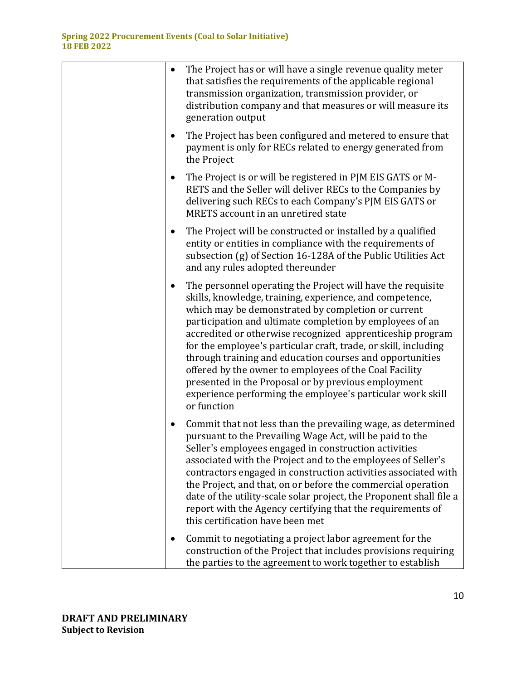| $\bullet$ | The Project has or will have a single revenue quality meter<br>that satisfies the requirements of the applicable regional<br>transmission organization, transmission provider, or<br>distribution company and that measures or will measure its<br>generation output                                                                                                                                                                                                                                                                                                                                                                |
|-----------|-------------------------------------------------------------------------------------------------------------------------------------------------------------------------------------------------------------------------------------------------------------------------------------------------------------------------------------------------------------------------------------------------------------------------------------------------------------------------------------------------------------------------------------------------------------------------------------------------------------------------------------|
|           | The Project has been configured and metered to ensure that<br>payment is only for RECs related to energy generated from<br>the Project                                                                                                                                                                                                                                                                                                                                                                                                                                                                                              |
|           | The Project is or will be registered in PJM EIS GATS or M-<br>RETS and the Seller will deliver RECs to the Companies by<br>delivering such RECs to each Company's PJM EIS GATS or<br>MRETS account in an unretired state                                                                                                                                                                                                                                                                                                                                                                                                            |
|           | The Project will be constructed or installed by a qualified<br>entity or entities in compliance with the requirements of<br>subsection (g) of Section 16-128A of the Public Utilities Act<br>and any rules adopted thereunder                                                                                                                                                                                                                                                                                                                                                                                                       |
| ٠         | The personnel operating the Project will have the requisite<br>skills, knowledge, training, experience, and competence,<br>which may be demonstrated by completion or current<br>participation and ultimate completion by employees of an<br>accredited or otherwise recognized apprenticeship program<br>for the employee's particular craft, trade, or skill, including<br>through training and education courses and opportunities<br>offered by the owner to employees of the Coal Facility<br>presented in the Proposal or by previous employment<br>experience performing the employee's particular work skill<br>or function |
| ٠         | Commit that not less than the prevailing wage, as determined<br>pursuant to the Prevailing Wage Act, will be paid to the<br>Seller's employees engaged in construction activities<br>associated with the Project and to the employees of Seller's<br>contractors engaged in construction activities associated with<br>the Project, and that, on or before the commercial operation<br>date of the utility-scale solar project, the Proponent shall file a<br>report with the Agency certifying that the requirements of<br>this certification have been met                                                                        |
|           | Commit to negotiating a project labor agreement for the<br>construction of the Project that includes provisions requiring<br>the parties to the agreement to work together to establish                                                                                                                                                                                                                                                                                                                                                                                                                                             |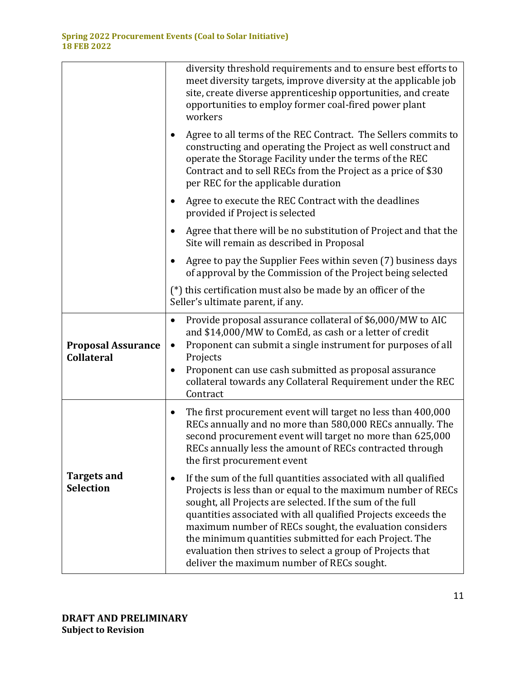|                                                | diversity threshold requirements and to ensure best efforts to<br>meet diversity targets, improve diversity at the applicable job<br>site, create diverse apprenticeship opportunities, and create<br>opportunities to employ former coal-fired power plant<br>workers                                                                                                                                                                                                                                      |
|------------------------------------------------|-------------------------------------------------------------------------------------------------------------------------------------------------------------------------------------------------------------------------------------------------------------------------------------------------------------------------------------------------------------------------------------------------------------------------------------------------------------------------------------------------------------|
|                                                | Agree to all terms of the REC Contract. The Sellers commits to<br>constructing and operating the Project as well construct and<br>operate the Storage Facility under the terms of the REC<br>Contract and to sell RECs from the Project as a price of \$30<br>per REC for the applicable duration                                                                                                                                                                                                           |
|                                                | Agree to execute the REC Contract with the deadlines<br>provided if Project is selected                                                                                                                                                                                                                                                                                                                                                                                                                     |
|                                                | Agree that there will be no substitution of Project and that the<br>Site will remain as described in Proposal                                                                                                                                                                                                                                                                                                                                                                                               |
|                                                | Agree to pay the Supplier Fees within seven (7) business days<br>of approval by the Commission of the Project being selected                                                                                                                                                                                                                                                                                                                                                                                |
|                                                | (*) this certification must also be made by an officer of the<br>Seller's ultimate parent, if any.                                                                                                                                                                                                                                                                                                                                                                                                          |
| <b>Proposal Assurance</b><br><b>Collateral</b> | Provide proposal assurance collateral of \$6,000/MW to AIC<br>٠<br>and \$14,000/MW to ComEd, as cash or a letter of credit<br>Proponent can submit a single instrument for purposes of all<br>$\bullet$<br>Projects                                                                                                                                                                                                                                                                                         |
|                                                | Proponent can use cash submitted as proposal assurance<br>$\bullet$<br>collateral towards any Collateral Requirement under the REC<br>Contract                                                                                                                                                                                                                                                                                                                                                              |
|                                                | The first procurement event will target no less than 400,000<br>RECs annually and no more than 580,000 RECs annually. The<br>second procurement event will target no more than 625,000<br>RECs annually less the amount of RECs contracted through<br>the first procurement event                                                                                                                                                                                                                           |
| <b>Targets and</b><br><b>Selection</b>         | If the sum of the full quantities associated with all qualified<br>$\bullet$<br>Projects is less than or equal to the maximum number of RECs<br>sought, all Projects are selected. If the sum of the full<br>quantities associated with all qualified Projects exceeds the<br>maximum number of RECs sought, the evaluation considers<br>the minimum quantities submitted for each Project. The<br>evaluation then strives to select a group of Projects that<br>deliver the maximum number of RECs sought. |